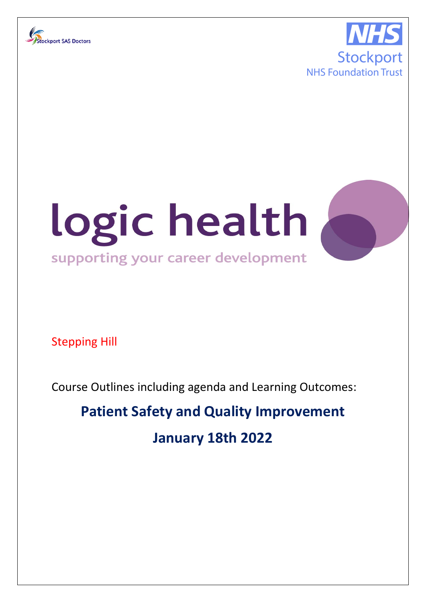





Stepping Hill

Course Outlines including agenda and Learning Outcomes:

# **Patient Safety and Quality Improvement January 18th 2022**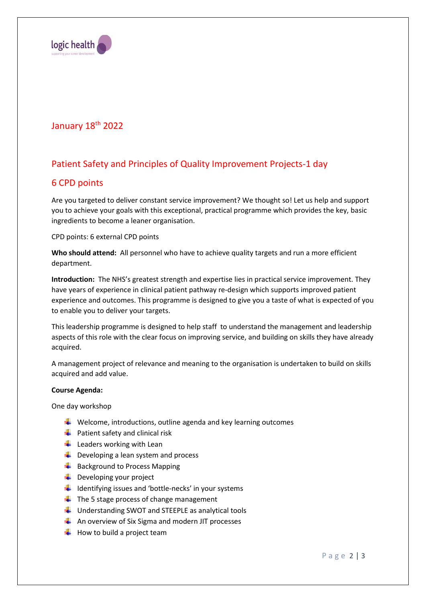

## January 18<sup>th</sup> 2022

# Patient Safety and Principles of Quality Improvement Projects-1 day

## 6 CPD points

Are you targeted to deliver constant service improvement? We thought so! Let us help and support you to achieve your goals with this exceptional, practical programme which provides the key, basic ingredients to become a leaner organisation.

CPD points: 6 external CPD points

**Who should attend:** All personnel who have to achieve quality targets and run a more efficient department.

**Introduction:** The NHS's greatest strength and expertise lies in practical service improvement. They have years of experience in clinical patient pathway re-design which supports improved patient experience and outcomes. This programme is designed to give you a taste of what is expected of you to enable you to deliver your targets.

This leadership programme is designed to help staff to understand the management and leadership aspects of this role with the clear focus on improving service, and building on skills they have already acquired.

A management project of relevance and meaning to the organisation is undertaken to build on skills acquired and add value.

### **Course Agenda:**

One day workshop

- $\downarrow$  Welcome, introductions, outline agenda and key learning outcomes
- $\downarrow$  Patient safety and clinical risk
- $\ddot{\bullet}$  Leaders working with Lean
- $\bigstar$  Developing a lean system and process
- $\bigstar$  Background to Process Mapping
- $\downarrow$  Developing your project
- $\frac{1}{2}$  Identifying issues and 'bottle-necks' in your systems
- $\downarrow$  The 5 stage process of change management
- $\downarrow$  Understanding SWOT and STEEPLE as analytical tools
- $\downarrow$  An overview of Six Sigma and modern JIT processes
- $\bigstar$  How to build a project team